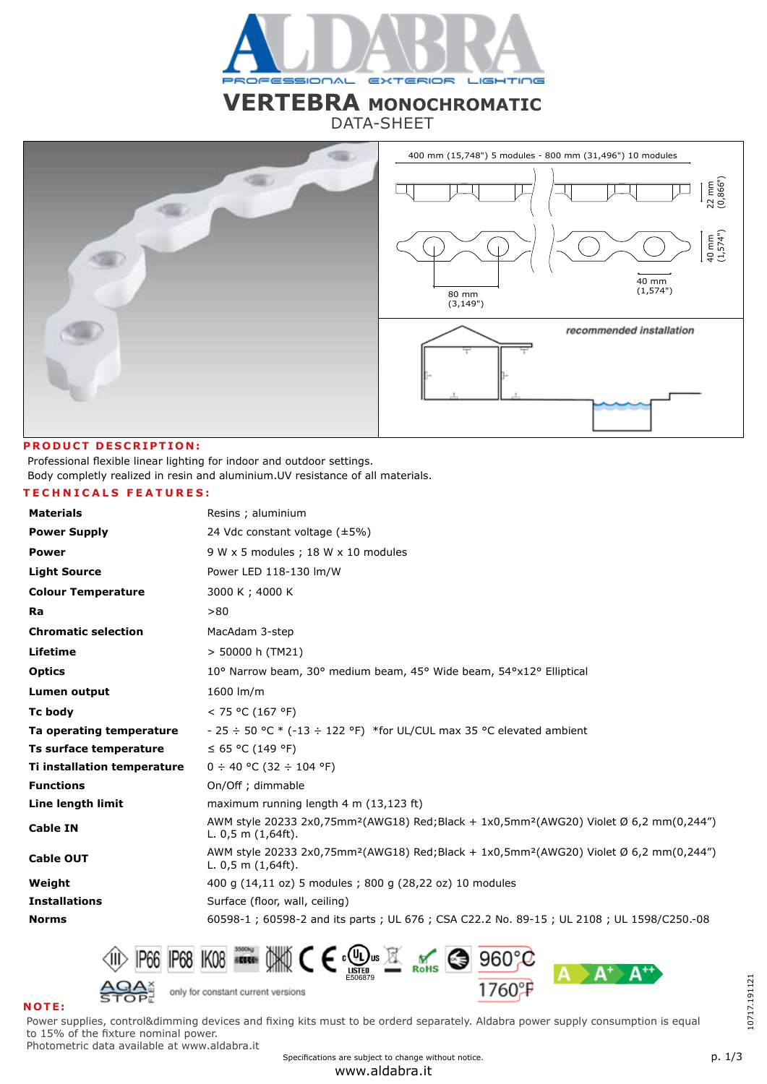

# **VERTEBRA MONOCHROMATIC**

DATA-SHEET



## **PRODUCT DESCRIPTION:**

Professional flexible linear lighting for indoor and outdoor settings. Body completly realized in resin and aluminium.UV resistance of all materials.

# **TECHNICALS FEATURES:**

| <b>Materials</b>            | Resins ; aluminium                                                                                                                                  |
|-----------------------------|-----------------------------------------------------------------------------------------------------------------------------------------------------|
| <b>Power Supply</b>         | 24 Vdc constant voltage $(\pm 5\%)$                                                                                                                 |
| <b>Power</b>                | 9 W x 5 modules ; 18 W x 10 modules                                                                                                                 |
| <b>Light Source</b>         | Power LED 118-130 lm/W                                                                                                                              |
| <b>Colour Temperature</b>   | 3000 K; 4000 K                                                                                                                                      |
| Ra                          | > 80                                                                                                                                                |
| <b>Chromatic selection</b>  | MacAdam 3-step                                                                                                                                      |
| Lifetime                    | > 50000 h (TM21)                                                                                                                                    |
| <b>Optics</b>               | 10° Narrow beam, 30° medium beam, 45° Wide beam, 54°x12° Elliptical                                                                                 |
| <b>Lumen output</b>         | 1600 lm/m                                                                                                                                           |
| <b>Tc body</b>              | < 75 °C (167 °F)                                                                                                                                    |
| Ta operating temperature    | - 25 $\div$ 50 °C $*$ (-13 $\div$ 122 °F) *for UL/CUL max 35 °C elevated ambient                                                                    |
| Ts surface temperature      | $\leq$ 65 °C (149 °F)                                                                                                                               |
| Ti installation temperature | $0 \div 40$ °C (32 $\div 104$ °F)                                                                                                                   |
| <b>Functions</b>            | On/Off ; dimmable                                                                                                                                   |
| Line length limit           | maximum running length $4 \text{ m}$ (13,123 ft)                                                                                                    |
| <b>Cable IN</b>             | AWM style 20233 2x0,75mm <sup>2</sup> (AWG18) Red;Black + 1x0,5mm <sup>2</sup> (AWG20) Violet Ø 6,2 mm(0,244")<br>L. $0,5$ m $(1,64ft)$ .           |
| <b>Cable OUT</b>            | AWM style 20233 2x0,75mm <sup>2</sup> (AWG18) Red;Black + 1x0,5mm <sup>2</sup> (AWG20) Violet $\emptyset$ 6,2 mm(0,244")<br>L. $0.5$ m $(1.64ft)$ . |
| Weight                      | 400 g (14,11 oz) 5 modules; 800 g (28,22 oz) 10 modules                                                                                             |
| <b>Installations</b>        | Surface (floor, wall, ceiling)                                                                                                                      |
| <b>Norms</b>                | 60598-1; 60598-2 and its parts; UL 676; CSA C22.2 No. 89-15; UL 2108; UL 1598/C250.-08                                                              |



# **NOTE:**

Power supplies, control&dimming devices and fixing kits must to be orderd separately. Aldabra power supply consumption is equal to 15% of the fixture nominal power.

Photometric data available at www.aldabra.it

Specifications are subject to change without notice.

10717.191121

10717.191121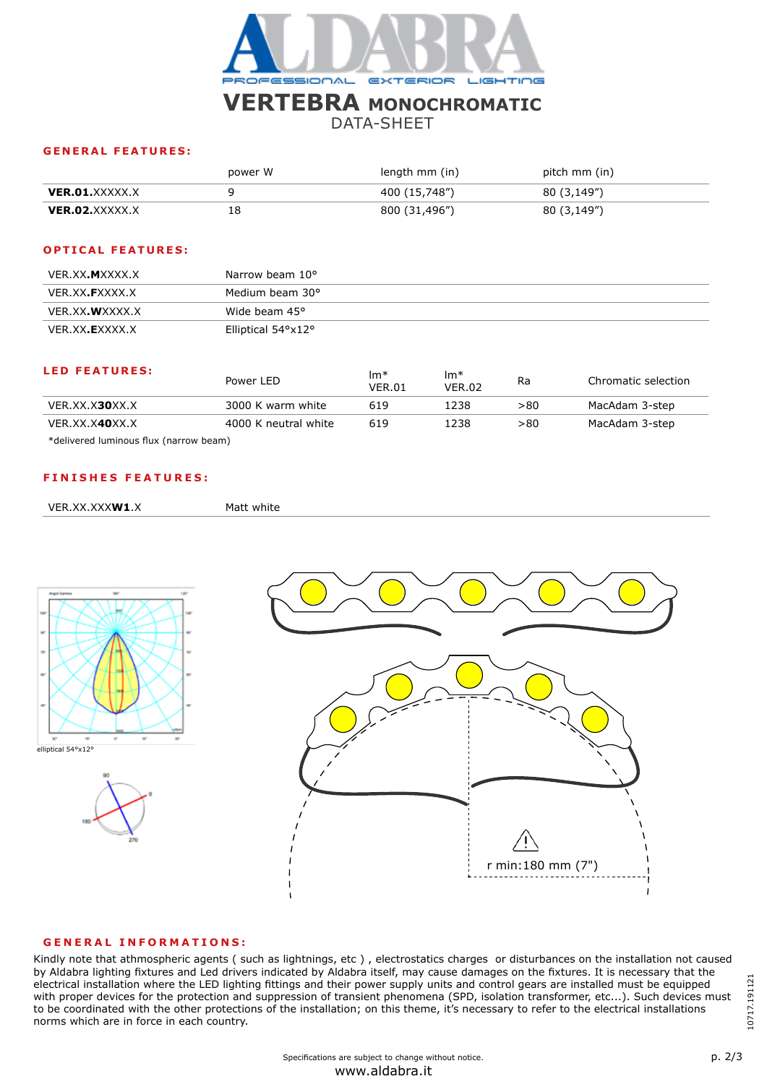

# **VERTEBRA MONOCHROMATIC**

DATA-SHEET

## **GENERAL FEATURES:**

|                | power W | length mm (in) | pitch mm (in) |
|----------------|---------|----------------|---------------|
| VER.O1.XXXXX.X |         | 400 (15,748")  | 80 (3,149")   |
| VER.02.XXXXX.X | 18      | 800 (31,496")  | 80 (3,149")   |

## **OPTICAL FEATURES:**

| VER.XX. <b>M</b> XXXX.X | Narrow beam 10°              |
|-------------------------|------------------------------|
| VER.XX. <b>F</b> XXXX.X | Medium beam 30°              |
| VER.XX. <b>W</b> XXXX.X | Wide beam 45°                |
| VER.XX. <b>E</b> XXXX.X | Elliptical $54^{\circ}$ x12° |

#### **LED FEATURES:**

| <b>LED FEATURES:</b>                               | Power LED            | $Im*$<br><b>VER.01</b> | $Im*$<br><b>VER.02</b> | Ra  | Chromatic selection |
|----------------------------------------------------|----------------------|------------------------|------------------------|-----|---------------------|
| VER.XX.X <b>30</b> XX.X                            | 3000 K warm white    | 619                    | 1238                   | >80 | MacAdam 3-step      |
| VER.XX.X <b>40</b> XX.X                            | 4000 K neutral white | 619                    | 1238                   | >80 | MacAdam 3-step      |
| لاعقامهما يسمعون ممارك ويستعملون المعتمرين الملاطئ |                      |                        |                        |     |                     |

\*delivered luminous flux (narrow beam)

## **FINISHES FEATURES:**

```
VER.XX.XXXW1.X Matt white
```






#### **GENERAL INFORMATIONS:**

Kindly note that athmospheric agents ( such as lightnings, etc ) , electrostatics charges or disturbances on the installation not caused by Aldabra lighting fixtures and Led drivers indicated by Aldabra itself, may cause damages on the fixtures. It is necessary that the electrical installation where the LED lighting fittings and their power supply units and control gears are installed must be equipped with proper devices for the protection and suppression of transient phenomena (SPD, isolation transformer, etc...). Such devices must to be coordinated with the other protections of the installation; on this theme, it's necessary to refer to the electrical installations norms which are in force in each country.

10717.191121 10717.191121